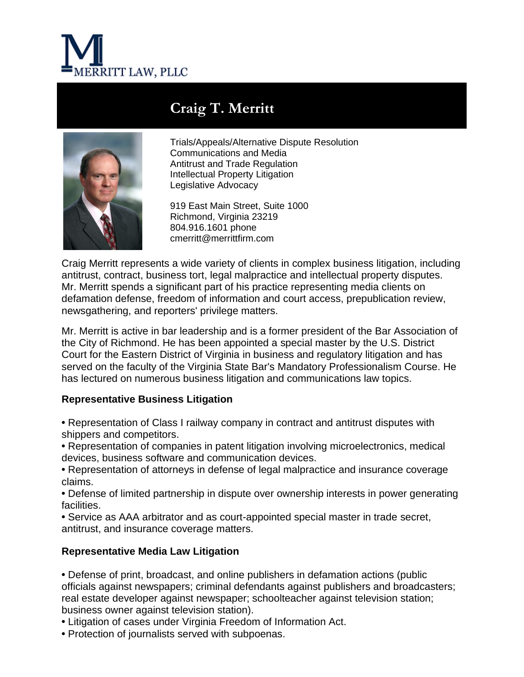

# **Craig T. Merritt**



Trials/Appeals/Alternative Dispute Resolution Communications and Media Antitrust and Trade Regulation Intellectual Property Litigation Legislative Advocacy

919 East Main Street, Suite 1000 Richmond, Virginia 23219 804.916.1601 phone cmerritt@merrittfirm.com

Craig Merritt represents a wide variety of clients in complex business litigation, including antitrust, contract, business tort, legal malpractice and intellectual property disputes. Mr. Merritt spends a significant part of his practice representing media clients on defamation defense, freedom of information and court access, prepublication review, newsgathering, and reporters' privilege matters.

Mr. Merritt is active in bar leadership and is a former president of the Bar Association of the City of Richmond. He has been appointed a special master by the U.S. District Court for the Eastern District of Virginia in business and regulatory litigation and has served on the faculty of the Virginia State Bar's Mandatory Professionalism Course. He has lectured on numerous business litigation and communications law topics.

# **Representative Business Litigation**

**•** Representation of Class I railway company in contract and antitrust disputes with shippers and competitors.

**•** Representation of companies in patent litigation involving microelectronics, medical devices, business software and communication devices.

**•** Representation of attorneys in defense of legal malpractice and insurance coverage claims.

**•** Defense of limited partnership in dispute over ownership interests in power generating facilities.

**•** Service as AAA arbitrator and as court-appointed special master in trade secret, antitrust, and insurance coverage matters.

# **Representative Media Law Litigation**

**•** Defense of print, broadcast, and online publishers in defamation actions (public officials against newspapers; criminal defendants against publishers and broadcasters; real estate developer against newspaper; schoolteacher against television station; business owner against television station).

- **•** Litigation of cases under Virginia Freedom of Information Act.
- **•** Protection of journalists served with subpoenas.